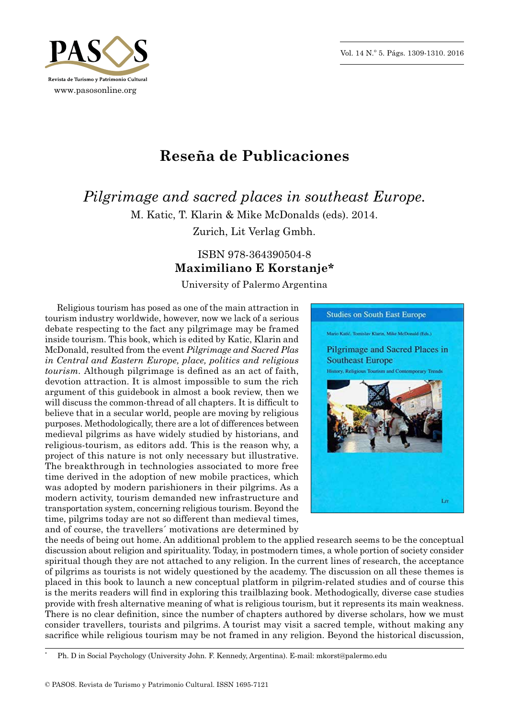Vol. 14 N.º 5. Págs. 1309-1310. 2016



## **Reseña de Publicaciones**

*Pilgrimage and sacred places in southeast Europe.* M. Katic, T. Klarin & Mike McDonalds (eds). 2014.

Zurich, Lit Verlag Gmbh.

## ISBN 978‑364390504‑8 **Maximiliano E Korstanje\***

University of Palermo Argentina

Religious tourism has posed as one of the main attraction in tourism industry worldwide, however, now we lack of a serious debate respecting to the fact any pilgrimage may be framed inside tourism. This book, which is edited by Katic, Klarin and McDonald, resulted from the event *Pilgrimage and Sacred Plas in Central and Eastern Europe, place, politics and religious tourism.* Although pilgrimage is defined as an act of faith, devotion attraction. It is almost impossible to sum the rich argument of this guidebook in almost a book review, then we will discuss the common-thread of all chapters. It is difficult to believe that in a secular world, people are moving by religious purposes. Methodologically, there are a lot of differences between medieval pilgrims as have widely studied by historians, and religious-tourism, as editors add. This is the reason why, a project of this nature is not only necessary but illustrative. The breakthrough in technologies associated to more free time derived in the adoption of new mobile practices, which was adopted by modern parishioners in their pilgrims. As a modern activity, tourism demanded new infrastructure and transportation system, concerning religious tourism. Beyond the time, pilgrims today are not so different than medieval times, and of course, the travellers´ motivations are determined by



the needs of being out home. An additional problem to the applied research seems to be the conceptual discussion about religion and spirituality. Today, in postmodern times, a whole portion of society consider spiritual though they are not attached to any religion. In the current lines of research, the acceptance of pilgrims as tourists is not widely questioned by the academy. The discussion on all these themes is placed in this book to launch a new conceptual platform in pilgrim‑related studies and of course this is the merits readers will find in exploring this trailblazing book. Methodogically, diverse case studies provide with fresh alternative meaning of what is religious tourism, but it represents its main weakness. There is no clear definition, since the number of chapters authored by diverse scholars, how we must consider travellers, tourists and pilgrims. A tourist may visit a sacred temple, without making any sacrifice while religious tourism may be not framed in any religion. Beyond the historical discussion,

Ph. D in Social Psychology (University John. F. Kennedy, Argentina). E-mail: mkorst@palermo.edu